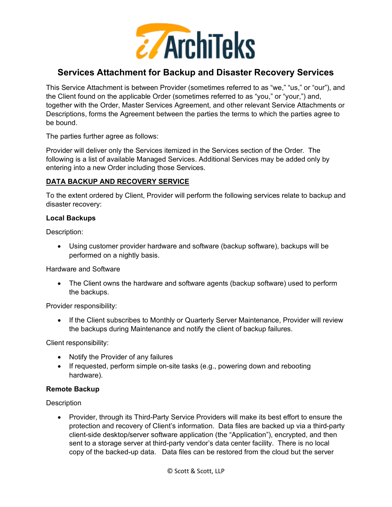

# **Services Attachment for Backup and Disaster Recovery Services**

This Service Attachment is between Provider (sometimes referred to as "we," "us," or "our"), and the Client found on the applicable Order (sometimes referred to as "you," or "your,") and, together with the Order, Master Services Agreement, and other relevant Service Attachments or Descriptions, forms the Agreement between the parties the terms to which the parties agree to be bound.

The parties further agree as follows:

Provider will deliver only the Services itemized in the Services section of the Order. The following is a list of available Managed Services. Additional Services may be added only by entering into a new Order including those Services.

# **DATA BACKUP AND RECOVERY SERVICE**

To the extent ordered by Client, Provider will perform the following services relate to backup and disaster recovery:

#### **Local Backups**

Description:

• Using customer provider hardware and software (backup software), backups will be performed on a nightly basis.

Hardware and Software

• The Client owns the hardware and software agents (backup software) used to perform the backups.

Provider responsibility:

• If the Client subscribes to Monthly or Quarterly Server Maintenance, Provider will review the backups during Maintenance and notify the client of backup failures.

Client responsibility:

- Notify the Provider of any failures
- If requested, perform simple on-site tasks (e.g., powering down and rebooting hardware).

## **Remote Backup**

**Description** 

• Provider, through its Third-Party Service Providers will make its best effort to ensure the protection and recovery of Client's information. Data files are backed up via a third-party client-side desktop/server software application (the "Application"), encrypted, and then sent to a storage server at third-party vendor's data center facility. There is no local copy of the backed-up data. Data files can be restored from the cloud but the server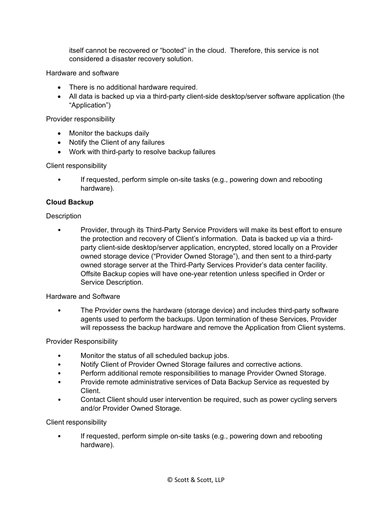itself cannot be recovered or "booted" in the cloud. Therefore, this service is not considered a disaster recovery solution.

Hardware and software

- There is no additional hardware required.
- All data is backed up via a third-party client-side desktop/server software application (the "Application")

Provider responsibility

- Monitor the backups daily
- Notify the Client of any failures
- Work with third-party to resolve backup failures

Client responsibility

• If requested, perform simple on-site tasks (e.g., powering down and rebooting hardware).

# **Cloud Backup**

# **Description**

• Provider, through its Third-Party Service Providers will make its best effort to ensure the protection and recovery of Client's information. Data is backed up via a thirdparty client-side desktop/server application, encrypted, stored locally on a Provider owned storage device ("Provider Owned Storage"), and then sent to a third-party owned storage server at the Third-Party Services Provider's data center facility. Offsite Backup copies will have one-year retention unless specified in Order or Service Description.

## Hardware and Software

• The Provider owns the hardware (storage device) and includes third-party software agents used to perform the backups. Upon termination of these Services, Provider will repossess the backup hardware and remove the Application from Client systems.

Provider Responsibility

- Monitor the status of all scheduled backup jobs.
- Notify Client of Provider Owned Storage failures and corrective actions.
- Perform additional remote responsibilities to manage Provider Owned Storage.
- Provide remote administrative services of Data Backup Service as requested by **Client**
- Contact Client should user intervention be required, such as power cycling servers and/or Provider Owned Storage.

Client responsibility

If requested, perform simple on-site tasks (e.g., powering down and rebooting hardware).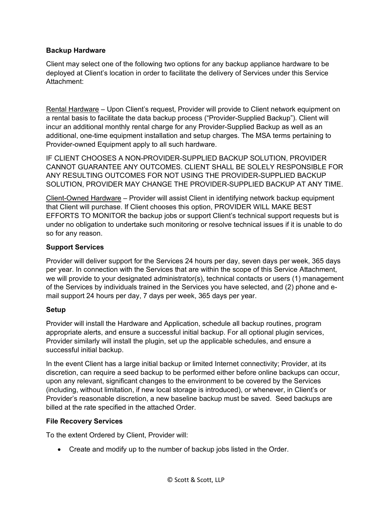## **Backup Hardware**

Client may select one of the following two options for any backup appliance hardware to be deployed at Client's location in order to facilitate the delivery of Services under this Service Attachment:

Rental Hardware – Upon Client's request, Provider will provide to Client network equipment on a rental basis to facilitate the data backup process ("Provider-Supplied Backup"). Client will incur an additional monthly rental charge for any Provider-Supplied Backup as well as an additional, one-time equipment installation and setup charges. The MSA terms pertaining to Provider-owned Equipment apply to all such hardware.

IF CLIENT CHOOSES A NON-PROVIDER-SUPPLIED BACKUP SOLUTION, PROVIDER CANNOT GUARANTEE ANY OUTCOMES. CLIENT SHALL BE SOLELY RESPONSIBLE FOR ANY RESULTING OUTCOMES FOR NOT USING THE PROVIDER-SUPPLIED BACKUP SOLUTION, PROVIDER MAY CHANGE THE PROVIDER-SUPPLIED BACKUP AT ANY TIME.

Client-Owned Hardware – Provider will assist Client in identifying network backup equipment that Client will purchase. If Client chooses this option, PROVIDER WILL MAKE BEST EFFORTS TO MONITOR the backup jobs or support Client's technical support requests but is under no obligation to undertake such monitoring or resolve technical issues if it is unable to do so for any reason.

# **Support Services**

Provider will deliver support for the Services 24 hours per day, seven days per week, 365 days per year. In connection with the Services that are within the scope of this Service Attachment, we will provide to your designated administrator(s), technical contacts or users (1) management of the Services by individuals trained in the Services you have selected, and (2) phone and email support 24 hours per day, 7 days per week, 365 days per year.

## **Setup**

Provider will install the Hardware and Application, schedule all backup routines, program appropriate alerts, and ensure a successful initial backup. For all optional plugin services, Provider similarly will install the plugin, set up the applicable schedules, and ensure a successful initial backup.

In the event Client has a large initial backup or limited Internet connectivity; Provider, at its discretion, can require a seed backup to be performed either before online backups can occur, upon any relevant, significant changes to the environment to be covered by the Services (including, without limitation, if new local storage is introduced), or whenever, in Client's or Provider's reasonable discretion, a new baseline backup must be saved. Seed backups are billed at the rate specified in the attached Order.

## **File Recovery Services**

To the extent Ordered by Client, Provider will:

• Create and modify up to the number of backup jobs listed in the Order.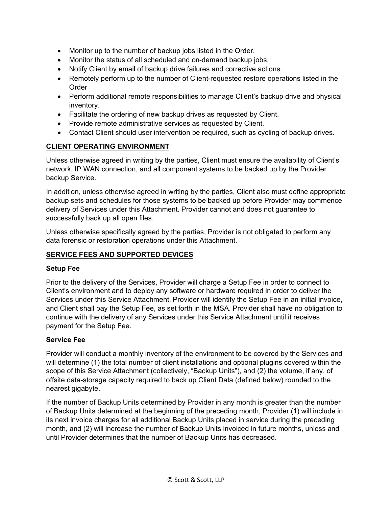- Monitor up to the number of backup jobs listed in the Order.
- Monitor the status of all scheduled and on-demand backup jobs.
- Notify Client by email of backup drive failures and corrective actions.
- Remotely perform up to the number of Client-requested restore operations listed in the Order
- Perform additional remote responsibilities to manage Client's backup drive and physical inventory.
- Facilitate the ordering of new backup drives as requested by Client.
- Provide remote administrative services as requested by Client.
- Contact Client should user intervention be required, such as cycling of backup drives.

## **CLIENT OPERATING ENVIRONMENT**

Unless otherwise agreed in writing by the parties, Client must ensure the availability of Client's network, IP WAN connection, and all component systems to be backed up by the Provider backup Service.

In addition, unless otherwise agreed in writing by the parties, Client also must define appropriate backup sets and schedules for those systems to be backed up before Provider may commence delivery of Services under this Attachment. Provider cannot and does not guarantee to successfully back up all open files.

Unless otherwise specifically agreed by the parties, Provider is not obligated to perform any data forensic or restoration operations under this Attachment.

#### **SERVICE FEES AND SUPPORTED DEVICES**

#### **Setup Fee**

Prior to the delivery of the Services, Provider will charge a Setup Fee in order to connect to Client's environment and to deploy any software or hardware required in order to deliver the Services under this Service Attachment. Provider will identify the Setup Fee in an initial invoice, and Client shall pay the Setup Fee, as set forth in the MSA. Provider shall have no obligation to continue with the delivery of any Services under this Service Attachment until it receives payment for the Setup Fee.

#### **Service Fee**

Provider will conduct a monthly inventory of the environment to be covered by the Services and will determine (1) the total number of client installations and optional plugins covered within the scope of this Service Attachment (collectively, "Backup Units"), and (2) the volume, if any, of offsite data-storage capacity required to back up Client Data (defined below) rounded to the nearest gigabyte.

If the number of Backup Units determined by Provider in any month is greater than the number of Backup Units determined at the beginning of the preceding month, Provider (1) will include in its next invoice charges for all additional Backup Units placed in service during the preceding month, and (2) will increase the number of Backup Units invoiced in future months, unless and until Provider determines that the number of Backup Units has decreased.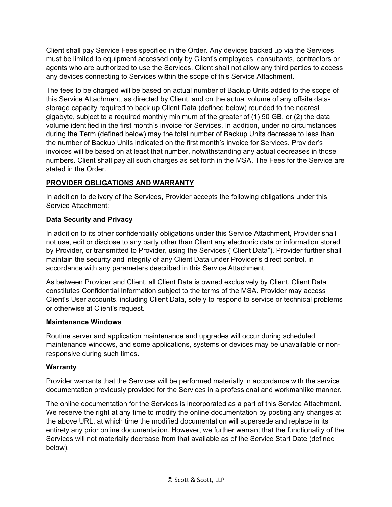Client shall pay Service Fees specified in the Order. Any devices backed up via the Services must be limited to equipment accessed only by Client's employees, consultants, contractors or agents who are authorized to use the Services. Client shall not allow any third parties to access any devices connecting to Services within the scope of this Service Attachment.

The fees to be charged will be based on actual number of Backup Units added to the scope of this Service Attachment, as directed by Client, and on the actual volume of any offsite datastorage capacity required to back up Client Data (defined below) rounded to the nearest gigabyte, subject to a required monthly minimum of the greater of (1) 50 GB, or (2) the data volume identified in the first month's invoice for Services. In addition, under no circumstances during the Term (defined below) may the total number of Backup Units decrease to less than the number of Backup Units indicated on the first month's invoice for Services. Provider's invoices will be based on at least that number, notwithstanding any actual decreases in those numbers. Client shall pay all such charges as set forth in the MSA. The Fees for the Service are stated in the Order.

# **PROVIDER OBLIGATIONS AND WARRANTY**

In addition to delivery of the Services, Provider accepts the following obligations under this Service Attachment:

# **Data Security and Privacy**

In addition to its other confidentiality obligations under this Service Attachment, Provider shall not use, edit or disclose to any party other than Client any electronic data or information stored by Provider, or transmitted to Provider, using the Services ("Client Data"). Provider further shall maintain the security and integrity of any Client Data under Provider's direct control, in accordance with any parameters described in this Service Attachment.

As between Provider and Client, all Client Data is owned exclusively by Client. Client Data constitutes Confidential Information subject to the terms of the MSA. Provider may access Client's User accounts, including Client Data, solely to respond to service or technical problems or otherwise at Client's request.

## **Maintenance Windows**

Routine server and application maintenance and upgrades will occur during scheduled maintenance windows, and some applications, systems or devices may be unavailable or nonresponsive during such times.

## **Warranty**

Provider warrants that the Services will be performed materially in accordance with the service documentation previously provided for the Services in a professional and workmanlike manner.

The online documentation for the Services is incorporated as a part of this Service Attachment. We reserve the right at any time to modify the online documentation by posting any changes at the above URL, at which time the modified documentation will supersede and replace in its entirety any prior online documentation. However, we further warrant that the functionality of the Services will not materially decrease from that available as of the Service Start Date (defined below).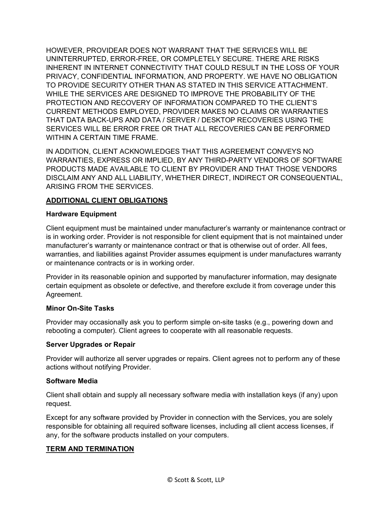HOWEVER, PROVIDEAR DOES NOT WARRANT THAT THE SERVICES WILL BE UNINTERRUPTED, ERROR-FREE, OR COMPLETELY SECURE. THERE ARE RISKS INHERENT IN INTERNET CONNECTIVITY THAT COULD RESULT IN THE LOSS OF YOUR PRIVACY, CONFIDENTIAL INFORMATION, AND PROPERTY. WE HAVE NO OBLIGATION TO PROVIDE SECURITY OTHER THAN AS STATED IN THIS SERVICE ATTACHMENT. WHILE THE SERVICES ARE DESIGNED TO IMPROVE THE PROBABILITY OF THE PROTECTION AND RECOVERY OF INFORMATION COMPARED TO THE CLIENT'S CURRENT METHODS EMPLOYED, PROVIDER MAKES NO CLAIMS OR WARRANTIES THAT DATA BACK-UPS AND DATA / SERVER / DESKTOP RECOVERIES USING THE SERVICES WILL BE ERROR FREE OR THAT ALL RECOVERIES CAN BE PERFORMED WITHIN A CERTAIN TIME FRAME.

IN ADDITION, CLIENT ACKNOWLEDGES THAT THIS AGREEMENT CONVEYS NO WARRANTIES, EXPRESS OR IMPLIED, BY ANY THIRD-PARTY VENDORS OF SOFTWARE PRODUCTS MADE AVAILABLE TO CLIENT BY PROVIDER AND THAT THOSE VENDORS DISCLAIM ANY AND ALL LIABILITY, WHETHER DIRECT, INDIRECT OR CONSEQUENTIAL, ARISING FROM THE SERVICES.

# **ADDITIONAL CLIENT OBLIGATIONS**

#### **Hardware Equipment**

Client equipment must be maintained under manufacturer's warranty or maintenance contract or is in working order. Provider is not responsible for client equipment that is not maintained under manufacturer's warranty or maintenance contract or that is otherwise out of order. All fees, warranties, and liabilities against Provider assumes equipment is under manufactures warranty or maintenance contracts or is in working order.

Provider in its reasonable opinion and supported by manufacturer information, may designate certain equipment as obsolete or defective, and therefore exclude it from coverage under this Agreement.

## **Minor On-Site Tasks**

Provider may occasionally ask you to perform simple on-site tasks (e.g., powering down and rebooting a computer). Client agrees to cooperate with all reasonable requests.

#### **Server Upgrades or Repair**

Provider will authorize all server upgrades or repairs. Client agrees not to perform any of these actions without notifying Provider.

#### **Software Media**

Client shall obtain and supply all necessary software media with installation keys (if any) upon request.

Except for any software provided by Provider in connection with the Services, you are solely responsible for obtaining all required software licenses, including all client access licenses, if any, for the software products installed on your computers.

## **TERM AND TERMINATION**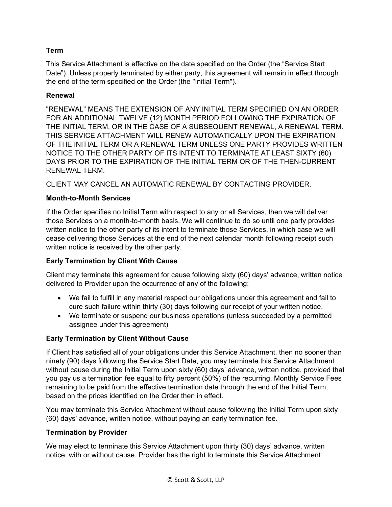# **Term**

This Service Attachment is effective on the date specified on the Order (the "Service Start Date"). Unless properly terminated by either party, this agreement will remain in effect through the end of the term specified on the Order (the "Initial Term").

## **Renewal**

"RENEWAL" MEANS THE EXTENSION OF ANY INITIAL TERM SPECIFIED ON AN ORDER FOR AN ADDITIONAL TWELVE (12) MONTH PERIOD FOLLOWING THE EXPIRATION OF THE INITIAL TERM, OR IN THE CASE OF A SUBSEQUENT RENEWAL, A RENEWAL TERM. THIS SERVICE ATTACHMENT WILL RENEW AUTOMATICALLY UPON THE EXPIRATION OF THE INITIAL TERM OR A RENEWAL TERM UNLESS ONE PARTY PROVIDES WRITTEN NOTICE TO THE OTHER PARTY OF ITS INTENT TO TERMINATE AT LEAST SIXTY (60) DAYS PRIOR TO THE EXPIRATION OF THE INITIAL TERM OR OF THE THEN-CURRENT RENEWAL TERM.

CLIENT MAY CANCEL AN AUTOMATIC RENEWAL BY CONTACTING PROVIDER.

## **Month-to-Month Services**

If the Order specifies no Initial Term with respect to any or all Services, then we will deliver those Services on a month-to-month basis. We will continue to do so until one party provides written notice to the other party of its intent to terminate those Services, in which case we will cease delivering those Services at the end of the next calendar month following receipt such written notice is received by the other party.

## **Early Termination by Client With Cause**

Client may terminate this agreement for cause following sixty (60) days' advance, written notice delivered to Provider upon the occurrence of any of the following:

- We fail to fulfill in any material respect our obligations under this agreement and fail to cure such failure within thirty (30) days following our receipt of your written notice.
- We terminate or suspend our business operations (unless succeeded by a permitted assignee under this agreement)

## **Early Termination by Client Without Cause**

If Client has satisfied all of your obligations under this Service Attachment, then no sooner than ninety (90) days following the Service Start Date, you may terminate this Service Attachment without cause during the Initial Term upon sixty (60) days' advance, written notice, provided that you pay us a termination fee equal to fifty percent (50%) of the recurring, Monthly Service Fees remaining to be paid from the effective termination date through the end of the Initial Term, based on the prices identified on the Order then in effect.

You may terminate this Service Attachment without cause following the Initial Term upon sixty (60) days' advance, written notice, without paying an early termination fee.

#### **Termination by Provider**

We may elect to terminate this Service Attachment upon thirty (30) days' advance, written notice, with or without cause. Provider has the right to terminate this Service Attachment